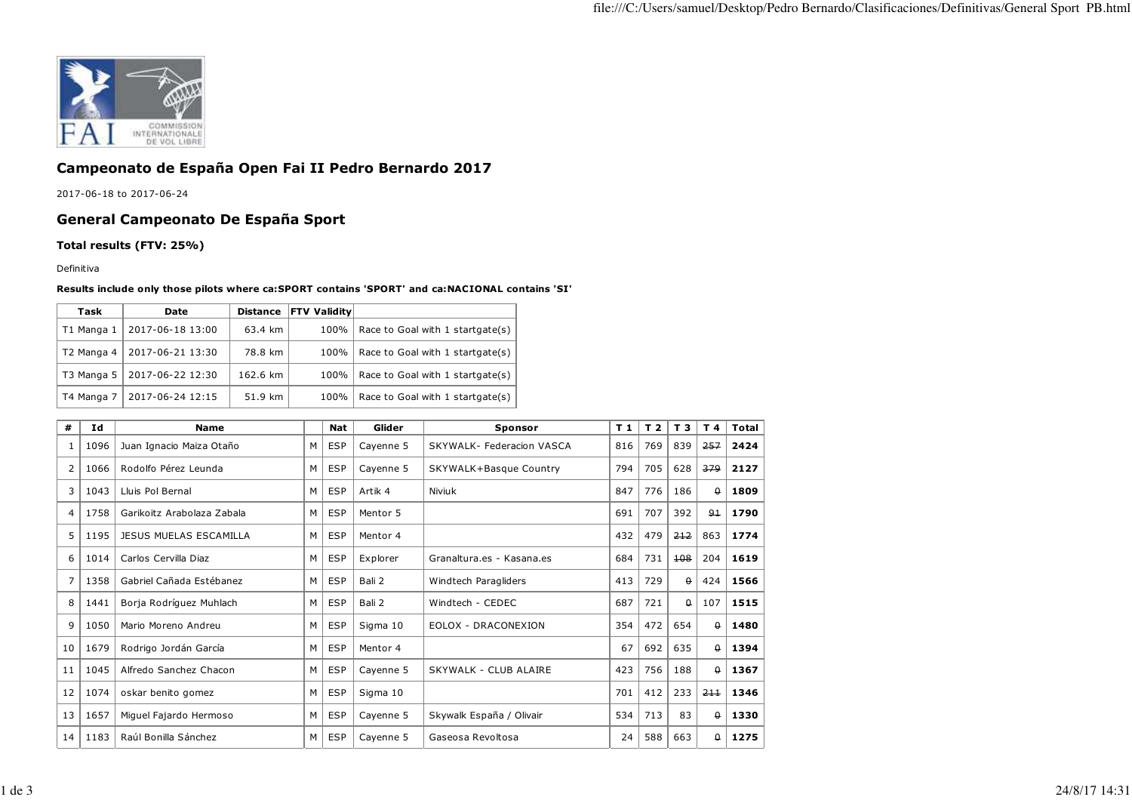

## **Campeonato de España Open Fai II Pedro Bernardo 2017**

2017-06-18 to 2017-06-24

## **General Campeonato De España Sport**

**Total results (FTV: 25%)**

Definitiva

## **Results include only those pilots where ca:SPORT contains 'SPORT' and ca:NACIONAL contains 'SI'**

| Task       | <b>Date</b>      | <b>Distance</b> | <b>FTV Validitv</b> |                                  |
|------------|------------------|-----------------|---------------------|----------------------------------|
| T1 Manga 1 | 2017-06-18 13:00 | 63.4 km         | 100%                | Race to Goal with 1 startgate(s) |
| T2 Manga 4 | 2017-06-21 13:30 | 78.8 km         | 100%                | Race to Goal with 1 startgate(s) |
| T3 Manga 5 | 2017-06-22 12:30 | 162.6 km        | 100%                | Race to Goal with 1 startgate(s) |
| T4 Manga 7 | 2017-06-24 12:15 | 51.9 km         | 100%                | Race to Goal with 1 startgate(s) |

| #  | Ιd   | <b>Name</b>                   |   | <b>Nat</b> | Glider    | <b>Sponsor</b>             | T 1 | T <sub>2</sub> | T 3      | T 4      | Total |
|----|------|-------------------------------|---|------------|-----------|----------------------------|-----|----------------|----------|----------|-------|
| 1  | 1096 | Juan Ignacio Maiza Otaño      | М | ESP        | Cayenne 5 | SKYWALK- Federacion VASCA  | 816 | 769            | 839      | 257      | 2424  |
| 2  | 1066 | Rodolfo Pérez Leunda          | М | <b>ESP</b> | Cayenne 5 | SKYWALK+Basque Country     | 794 | 705            | 628      | 379      | 2127  |
| 3  | 1043 | Lluis Pol Bernal              | М | ESP        | Artik 4   | Niviuk                     | 847 | 776            | 186      | θ.       | 1809  |
| 4  | 1758 | Garikoitz Arabolaza Zabala    | М | <b>ESP</b> | Mentor 5  |                            | 691 | 707            | 392      | 91       | 1790  |
| 5  | 1195 | <b>JESUS MUELAS ESCAMILLA</b> | М | <b>ESP</b> | Mentor 4  |                            | 432 | 479            | 212      | 863      | 1774  |
| 6  | 1014 | Carlos Cervilla Diaz          | М | <b>ESP</b> | Explorer  | Granaltura.es - Kasana.es  | 684 | 731            | 108      | 204      | 1619  |
| 7  | 1358 | Gabriel Cañada Estébanez      | М | <b>ESP</b> | Bali 2    | Windtech Paragliders       | 413 | 729            | $\theta$ | 424      | 1566  |
| 8  | 1441 | Borja Rodríguez Muhlach       | М | <b>ESP</b> | Bali 2    | Windtech - CEDEC           | 687 | 721            | $\theta$ | 107      | 1515  |
| 9  | 1050 | Mario Moreno Andreu           | м | <b>ESP</b> | Sigma 10  | <b>EOLOX - DRACONEXION</b> | 354 | 472            | 654      | θ.       | 1480  |
| 10 | 1679 | Rodrigo Jordán García         | М | <b>ESP</b> | Mentor 4  |                            | 67  | 692            | 635      | 0        | 1394  |
| 11 | 1045 | Alfredo Sanchez Chacon        | М | <b>ESP</b> | Cayenne 5 | SKYWALK - CLUB ALAIRE      | 423 | 756            | 188      | $\theta$ | 1367  |
| 12 | 1074 | oskar benito gomez            | м | <b>ESP</b> | Sigma 10  |                            | 701 | 412            | 233      | 211      | 1346  |
| 13 | 1657 | Miguel Fajardo Hermoso        | м | <b>ESP</b> | Cayenne 5 | Skywalk España / Olivair   | 534 | 713            | 83       | $\theta$ | 1330  |
| 14 | 1183 | Raúl Bonilla Sánchez          | м | <b>ESP</b> | Cayenne 5 | Gaseosa Revoltosa          | 24  | 588            | 663      | 0        | 1275  |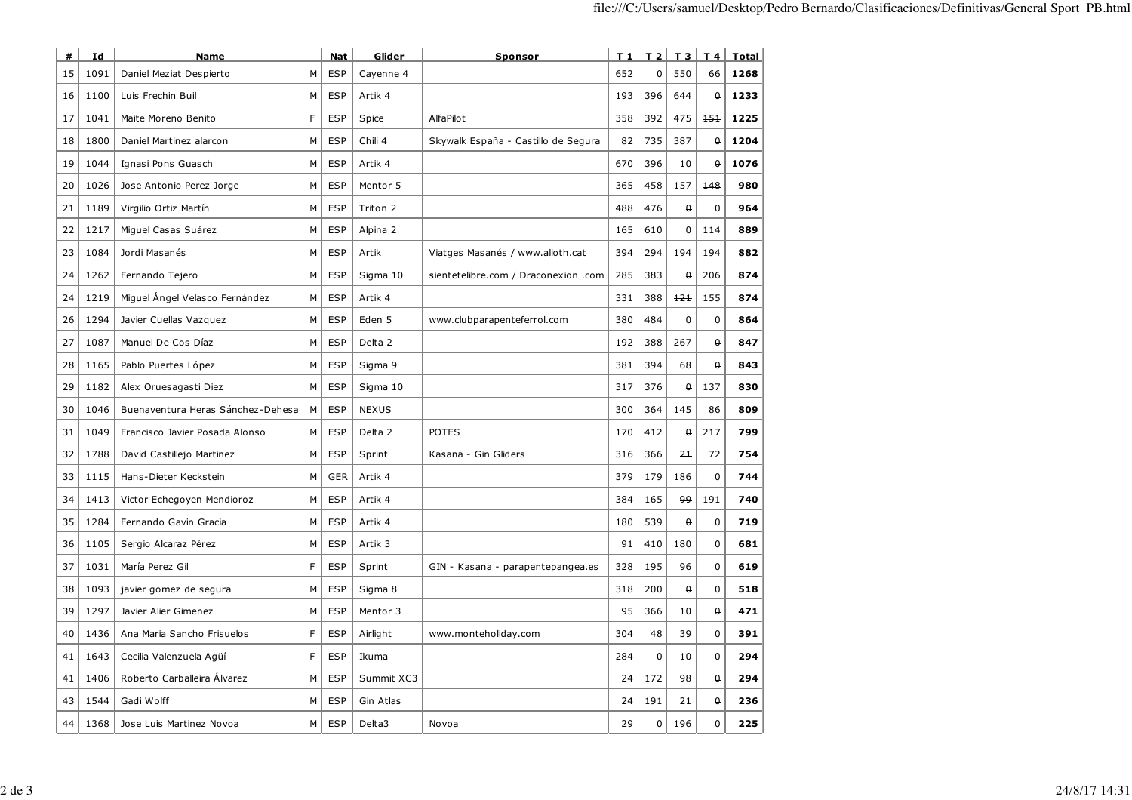| #  | Id   | <b>Name</b>                       |   | <b>Nat</b> | Glider       | <b>Sponsor</b>                       | T 1 | T <sub>2</sub>  | T 3              | T 4                | Total |
|----|------|-----------------------------------|---|------------|--------------|--------------------------------------|-----|-----------------|------------------|--------------------|-------|
| 15 | 1091 | Daniel Meziat Despierto           | M | <b>ESP</b> | Cayenne 4    |                                      | 652 | $\theta$        | 550              | 66                 | 1268  |
| 16 | 1100 | Luis Frechin Buil                 | M | <b>ESP</b> | Artik 4      |                                      | 193 | 396             | 644              | $\theta$           | 1233  |
| 17 | 1041 | Maite Moreno Benito               | F | <b>ESP</b> | Spice        | AlfaPilot                            | 358 | 392             | 475              | 151                | 1225  |
| 18 | 1800 | Daniel Martinez alarcon           | М | <b>ESP</b> | Chili 4      | Skywalk España - Castillo de Segura  | 82  | 735             | 387              | $\pmb{\mathsf{Q}}$ | 1204  |
| 19 | 1044 | Ignasi Pons Guasch                | M | <b>ESP</b> | Artik 4      |                                      | 670 | 396             | 10               | $\theta$           | 1076  |
| 20 | 1026 | Jose Antonio Perez Jorge          | м | <b>ESP</b> | Mentor 5     |                                      | 365 | 458             | 157              | 148                | 980   |
| 21 | 1189 | Virgilio Ortiz Martín             | М | <b>ESP</b> | Triton 2     |                                      | 488 | 476             | $\theta$         | 0                  | 964   |
| 22 | 1217 | Miguel Casas Suárez               | М | <b>ESP</b> | Alpina 2     |                                      | 165 | 610             | $\theta$         | 114                | 889   |
| 23 | 1084 | Jordi Masanés                     | M | <b>ESP</b> | Artik        | Viatges Masanés / www.alioth.cat     | 394 | 294             | 194              | 194                | 882   |
| 24 | 1262 | Fernando Tejero                   | M | <b>ESP</b> | Sigma 10     | sientetelibre.com / Draconexion .com | 285 | 383             | $\theta$         | 206                | 874   |
| 24 | 1219 | Miguel Angel Velasco Fernández    | М | <b>ESP</b> | Artik 4      |                                      | 331 | 388             | 121              | 155                | 874   |
| 26 | 1294 | Javier Cuellas Vazquez            | М | <b>ESP</b> | Eden 5       | www.clubparapenteferrol.com          | 380 | 484             | $\pmb{\uptheta}$ | $\mathbf 0$        | 864   |
| 27 | 1087 | Manuel De Cos Díaz                | M | <b>ESP</b> | Delta 2      |                                      | 192 | 388             | 267              | $\theta$           | 847   |
| 28 | 1165 | Pablo Puertes López               | M | <b>ESP</b> | Sigma 9      |                                      | 381 | 394             | 68               | $\theta$           | 843   |
| 29 | 1182 | Alex Oruesagasti Diez             | М | <b>ESP</b> | Sigma 10     |                                      | 317 | 376             | $\theta$         | 137                | 830   |
| 30 | 1046 | Buenaventura Heras Sánchez-Dehesa | M | <b>ESP</b> | <b>NEXUS</b> |                                      | 300 | 364             | 145              | 86                 | 809   |
| 31 | 1049 | Francisco Javier Posada Alonso    | M | <b>ESP</b> | Delta 2      | <b>POTES</b>                         | 170 | 412             | $\theta$         | 217                | 799   |
| 32 | 1788 | David Castillejo Martinez         | M | <b>ESP</b> | Sprint       | Kasana - Gin Gliders                 | 316 | 366             | 2 <sub>1</sub>   | 72                 | 754   |
| 33 | 1115 | Hans-Dieter Keckstein             | М | <b>GER</b> | Artik 4      |                                      | 379 | 179             | 186              | $\theta$           | 744   |
| 34 | 1413 | Victor Echegoyen Mendioroz        | M | <b>ESP</b> | Artik 4      |                                      | 384 | 165             | 99               | 191                | 740   |
| 35 | 1284 | Fernando Gavin Gracia             | M | <b>ESP</b> | Artik 4      |                                      | 180 | 539             | $\theta$         | $\mathbf 0$        | 719   |
| 36 | 1105 | Sergio Alcaraz Pérez              | M | <b>ESP</b> | Artik 3      |                                      | 91  | 410             | 180              | $\theta$           | 681   |
| 37 | 1031 | María Perez Gil                   | F | <b>ESP</b> | Sprint       | GIN - Kasana - parapentepangea.es    | 328 | 195             | 96               | $\pmb{\uptheta}$   | 619   |
| 38 | 1093 | javier gomez de segura            | M | <b>ESP</b> | Sigma 8      |                                      | 318 | 200             | $\theta$         | $\mathbf 0$        | 518   |
| 39 | 1297 | Javier Alier Gimenez              | M | <b>ESP</b> | Mentor 3     |                                      | 95  | 366             | 10               | $\theta$           | 471   |
| 40 | 1436 | Ana Maria Sancho Frisuelos        | F | <b>ESP</b> | Airlight     | www.monteholiday.com                 | 304 | 48              | 39               | $\theta$           | 391   |
| 41 | 1643 | Cecilia Valenzuela Agüí           | F | <b>ESP</b> | Ikuma        |                                      | 284 | $\theta$        | 10               | $\mathbf 0$        | 294   |
| 41 | 1406 | Roberto Carballeira Álvarez       | M | <b>ESP</b> | Summit XC3   |                                      | 24  | 172             | 98               | $\theta$           | 294   |
| 43 | 1544 | Gadi Wolff                        | M | <b>ESP</b> | Gin Atlas    |                                      | 24  | 191             | 21               | $\theta$           | 236   |
| 44 | 1368 | Jose Luis Martinez Novoa          | M | <b>ESP</b> | Delta3       | Novoa                                | 29  | $\pmb{\varrho}$ | 196              | $\mathbf{0}$       | 225   |